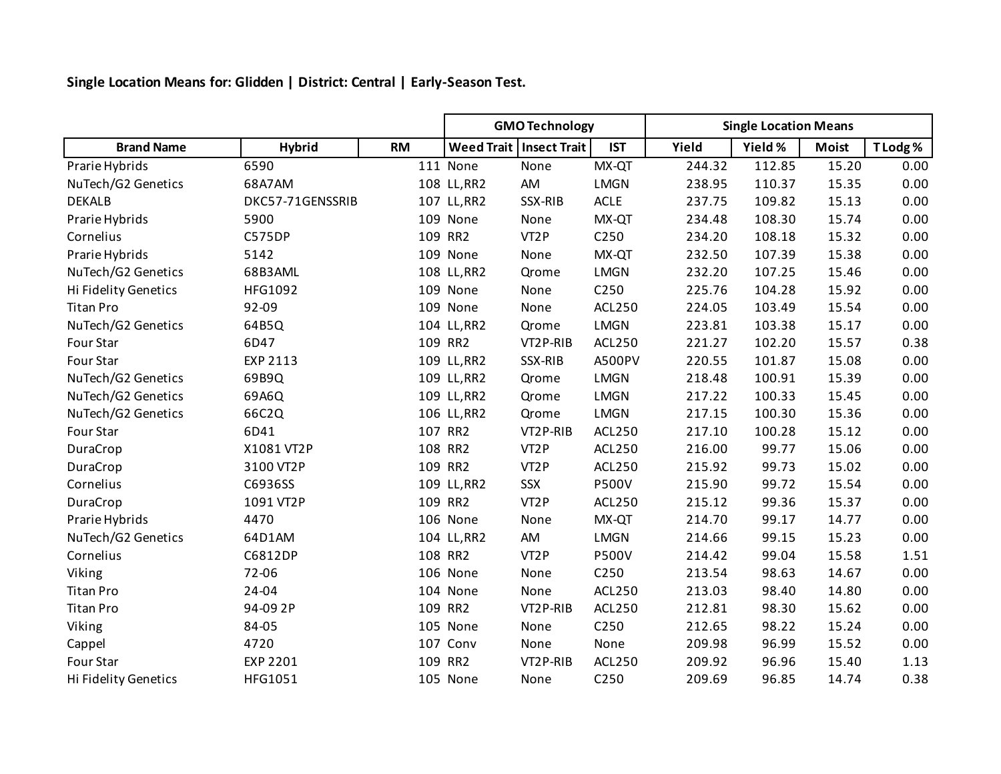**Single Location Means for: Glidden | District: Central | Early-Season Test.**

|                      |                  |           | <b>GMO Technology</b> |                           |                  | <b>Single Location Means</b> |         |              |          |  |
|----------------------|------------------|-----------|-----------------------|---------------------------|------------------|------------------------------|---------|--------------|----------|--|
| <b>Brand Name</b>    | <b>Hybrid</b>    | <b>RM</b> |                       | Weed Trait   Insect Trait | <b>IST</b>       | Yield                        | Yield % | <b>Moist</b> | T Lodg % |  |
| Prarie Hybrids       | 6590             |           | 111 None              | None                      | MX-QT            | 244.32                       | 112.85  | 15.20        | 0.00     |  |
| NuTech/G2 Genetics   | 68A7AM           |           | 108 LL, RR2           | AM                        | <b>LMGN</b>      | 238.95                       | 110.37  | 15.35        | 0.00     |  |
| <b>DEKALB</b>        | DKC57-71GENSSRIB |           | 107 LL, RR2           | SSX-RIB                   | <b>ACLE</b>      | 237.75                       | 109.82  | 15.13        | 0.00     |  |
| Prarie Hybrids       | 5900             |           | 109 None              | None                      | MX-QT            | 234.48                       | 108.30  | 15.74        | 0.00     |  |
| Cornelius            | <b>C575DP</b>    |           | 109 RR2               | VT <sub>2</sub> P         | C <sub>250</sub> | 234.20                       | 108.18  | 15.32        | 0.00     |  |
| Prarie Hybrids       | 5142             |           | 109 None              | None                      | MX-QT            | 232.50                       | 107.39  | 15.38        | 0.00     |  |
| NuTech/G2 Genetics   | 68B3AML          |           | 108 LL, RR2           | Qrome                     | LMGN             | 232.20                       | 107.25  | 15.46        | 0.00     |  |
| Hi Fidelity Genetics | HFG1092          |           | 109 None              | None                      | C250             | 225.76                       | 104.28  | 15.92        | 0.00     |  |
| <b>Titan Pro</b>     | 92-09            |           | 109 None              | None                      | ACL250           | 224.05                       | 103.49  | 15.54        | 0.00     |  |
| NuTech/G2 Genetics   | 64B5Q            |           | 104 LL, RR2           | Qrome                     | LMGN             | 223.81                       | 103.38  | 15.17        | 0.00     |  |
| Four Star            | 6D47             |           | 109 RR2               | VT2P-RIB                  | ACL250           | 221.27                       | 102.20  | 15.57        | 0.38     |  |
| Four Star            | EXP 2113         |           | 109 LL, RR2           | SSX-RIB                   | A500PV           | 220.55                       | 101.87  | 15.08        | 0.00     |  |
| NuTech/G2 Genetics   | 69B9Q            |           | 109 LL, RR2           | Qrome                     | LMGN             | 218.48                       | 100.91  | 15.39        | 0.00     |  |
| NuTech/G2 Genetics   | 69A6Q            |           | 109 LL, RR2           | Qrome                     | <b>LMGN</b>      | 217.22                       | 100.33  | 15.45        | 0.00     |  |
| NuTech/G2 Genetics   | 66C2Q            |           | 106 LL, RR2           | Qrome                     | <b>LMGN</b>      | 217.15                       | 100.30  | 15.36        | 0.00     |  |
| Four Star            | 6D41             |           | 107 RR2               | VT2P-RIB                  | ACL250           | 217.10                       | 100.28  | 15.12        | 0.00     |  |
| DuraCrop             | X1081 VT2P       |           | 108 RR2               | VT <sub>2</sub> P         | ACL250           | 216.00                       | 99.77   | 15.06        | 0.00     |  |
| DuraCrop             | 3100 VT2P        |           | 109 RR2               | VT <sub>2</sub> P         | ACL250           | 215.92                       | 99.73   | 15.02        | 0.00     |  |
| Cornelius            | C6936SS          |           | 109 LL, RR2           | SSX                       | <b>P500V</b>     | 215.90                       | 99.72   | 15.54        | 0.00     |  |
| DuraCrop             | 1091 VT2P        |           | 109 RR2               | VT <sub>2</sub> P         | ACL250           | 215.12                       | 99.36   | 15.37        | 0.00     |  |
| Prarie Hybrids       | 4470             |           | 106 None              | None                      | MX-QT            | 214.70                       | 99.17   | 14.77        | 0.00     |  |
| NuTech/G2 Genetics   | 64D1AM           |           | 104 LL, RR2           | AM                        | <b>LMGN</b>      | 214.66                       | 99.15   | 15.23        | 0.00     |  |
| Cornelius            | C6812DP          |           | 108 RR2               | VT <sub>2</sub> P         | <b>P500V</b>     | 214.42                       | 99.04   | 15.58        | 1.51     |  |
| Viking               | 72-06            |           | 106 None              | None                      | C250             | 213.54                       | 98.63   | 14.67        | 0.00     |  |
| <b>Titan Pro</b>     | 24-04            |           | 104 None              | None                      | ACL250           | 213.03                       | 98.40   | 14.80        | 0.00     |  |
| <b>Titan Pro</b>     | 94-09 2P         |           | 109 RR2               | VT2P-RIB                  | ACL250           | 212.81                       | 98.30   | 15.62        | 0.00     |  |
| Viking               | 84-05            |           | 105 None              | None                      | C250             | 212.65                       | 98.22   | 15.24        | 0.00     |  |
| Cappel               | 4720             |           | 107 Conv              | None                      | None             | 209.98                       | 96.99   | 15.52        | 0.00     |  |
| Four Star            | EXP 2201         |           | 109 RR2               | VT2P-RIB                  | ACL250           | 209.92                       | 96.96   | 15.40        | 1.13     |  |
| Hi Fidelity Genetics | HFG1051          |           | 105 None              | None                      | C250             | 209.69                       | 96.85   | 14.74        | 0.38     |  |